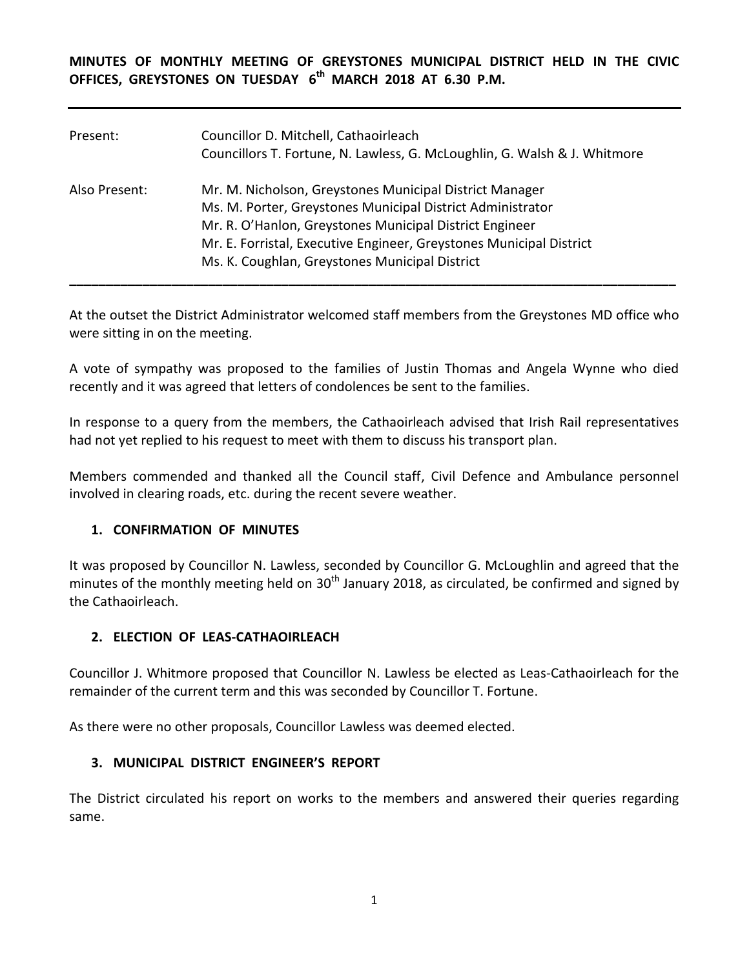**MINUTES OF MONTHLY MEETING OF GREYSTONES MUNICIPAL DISTRICT HELD IN THE CIVIC OFFICES, GREYSTONES ON TUESDAY 6 th MARCH 2018 AT 6.30 P.M.** 

| Present:      | Councillor D. Mitchell, Cathaoirleach<br>Councillors T. Fortune, N. Lawless, G. McLoughlin, G. Walsh & J. Whitmore                                                                                                                                                                                        |
|---------------|-----------------------------------------------------------------------------------------------------------------------------------------------------------------------------------------------------------------------------------------------------------------------------------------------------------|
| Also Present: | Mr. M. Nicholson, Greystones Municipal District Manager<br>Ms. M. Porter, Greystones Municipal District Administrator<br>Mr. R. O'Hanlon, Greystones Municipal District Engineer<br>Mr. E. Forristal, Executive Engineer, Greystones Municipal District<br>Ms. K. Coughlan, Greystones Municipal District |

At the outset the District Administrator welcomed staff members from the Greystones MD office who were sitting in on the meeting.

A vote of sympathy was proposed to the families of Justin Thomas and Angela Wynne who died recently and it was agreed that letters of condolences be sent to the families.

In response to a query from the members, the Cathaoirleach advised that Irish Rail representatives had not yet replied to his request to meet with them to discuss his transport plan.

Members commended and thanked all the Council staff, Civil Defence and Ambulance personnel involved in clearing roads, etc. during the recent severe weather.

### **1. CONFIRMATION OF MINUTES**

It was proposed by Councillor N. Lawless, seconded by Councillor G. McLoughlin and agreed that the minutes of the monthly meeting held on  $30<sup>th</sup>$  January 2018, as circulated, be confirmed and signed by the Cathaoirleach.

### **2. ELECTION OF LEAS-CATHAOIRLEACH**

Councillor J. Whitmore proposed that Councillor N. Lawless be elected as Leas-Cathaoirleach for the remainder of the current term and this was seconded by Councillor T. Fortune.

As there were no other proposals, Councillor Lawless was deemed elected.

### **3. MUNICIPAL DISTRICT ENGINEER'S REPORT**

The District circulated his report on works to the members and answered their queries regarding same.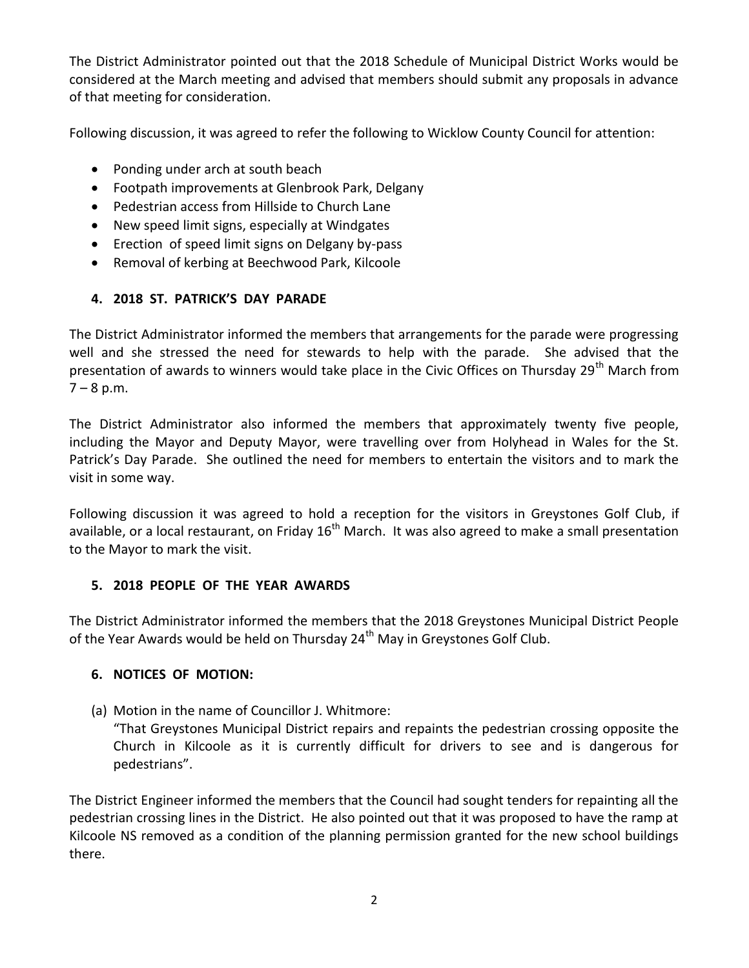The District Administrator pointed out that the 2018 Schedule of Municipal District Works would be considered at the March meeting and advised that members should submit any proposals in advance of that meeting for consideration.

Following discussion, it was agreed to refer the following to Wicklow County Council for attention:

- Ponding under arch at south beach
- Footpath improvements at Glenbrook Park, Delgany
- Pedestrian access from Hillside to Church Lane
- New speed limit signs, especially at Windgates
- Erection of speed limit signs on Delgany by-pass
- Removal of kerbing at Beechwood Park, Kilcoole

# **4. 2018 ST. PATRICK'S DAY PARADE**

The District Administrator informed the members that arrangements for the parade were progressing well and she stressed the need for stewards to help with the parade. She advised that the presentation of awards to winners would take place in the Civic Offices on Thursday 29<sup>th</sup> March from  $7 - 8$  p.m.

The District Administrator also informed the members that approximately twenty five people, including the Mayor and Deputy Mayor, were travelling over from Holyhead in Wales for the St. Patrick's Day Parade. She outlined the need for members to entertain the visitors and to mark the visit in some way.

Following discussion it was agreed to hold a reception for the visitors in Greystones Golf Club, if available, or a local restaurant, on Friday  $16<sup>th</sup>$  March. It was also agreed to make a small presentation to the Mayor to mark the visit.

## **5. 2018 PEOPLE OF THE YEAR AWARDS**

The District Administrator informed the members that the 2018 Greystones Municipal District People of the Year Awards would be held on Thursday  $24<sup>th</sup>$  May in Greystones Golf Club.

## **6. NOTICES OF MOTION:**

(a) Motion in the name of Councillor J. Whitmore:

"That Greystones Municipal District repairs and repaints the pedestrian crossing opposite the Church in Kilcoole as it is currently difficult for drivers to see and is dangerous for pedestrians".

The District Engineer informed the members that the Council had sought tenders for repainting all the pedestrian crossing lines in the District. He also pointed out that it was proposed to have the ramp at Kilcoole NS removed as a condition of the planning permission granted for the new school buildings there.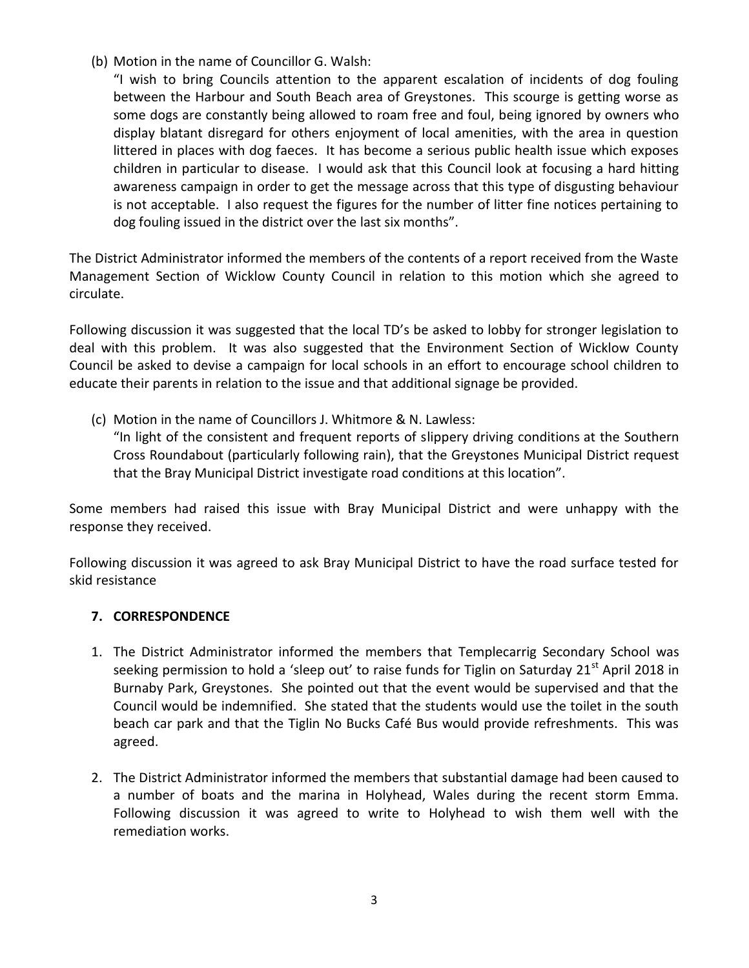(b) Motion in the name of Councillor G. Walsh:

"I wish to bring Councils attention to the apparent escalation of incidents of dog fouling between the Harbour and South Beach area of Greystones. This scourge is getting worse as some dogs are constantly being allowed to roam free and foul, being ignored by owners who display blatant disregard for others enjoyment of local amenities, with the area in question littered in places with dog faeces. It has become a serious public health issue which exposes children in particular to disease. I would ask that this Council look at focusing a hard hitting awareness campaign in order to get the message across that this type of disgusting behaviour is not acceptable. I also request the figures for the number of litter fine notices pertaining to dog fouling issued in the district over the last six months".

The District Administrator informed the members of the contents of a report received from the Waste Management Section of Wicklow County Council in relation to this motion which she agreed to circulate.

Following discussion it was suggested that the local TD's be asked to lobby for stronger legislation to deal with this problem. It was also suggested that the Environment Section of Wicklow County Council be asked to devise a campaign for local schools in an effort to encourage school children to educate their parents in relation to the issue and that additional signage be provided.

(c) Motion in the name of Councillors J. Whitmore & N. Lawless:

"In light of the consistent and frequent reports of slippery driving conditions at the Southern Cross Roundabout (particularly following rain), that the Greystones Municipal District request that the Bray Municipal District investigate road conditions at this location".

Some members had raised this issue with Bray Municipal District and were unhappy with the response they received.

Following discussion it was agreed to ask Bray Municipal District to have the road surface tested for skid resistance

### **7. CORRESPONDENCE**

- 1. The District Administrator informed the members that Templecarrig Secondary School was seeking permission to hold a 'sleep out' to raise funds for Tiglin on Saturday 21<sup>st</sup> April 2018 in Burnaby Park, Greystones. She pointed out that the event would be supervised and that the Council would be indemnified. She stated that the students would use the toilet in the south beach car park and that the Tiglin No Bucks Café Bus would provide refreshments. This was agreed.
- 2. The District Administrator informed the members that substantial damage had been caused to a number of boats and the marina in Holyhead, Wales during the recent storm Emma. Following discussion it was agreed to write to Holyhead to wish them well with the remediation works.